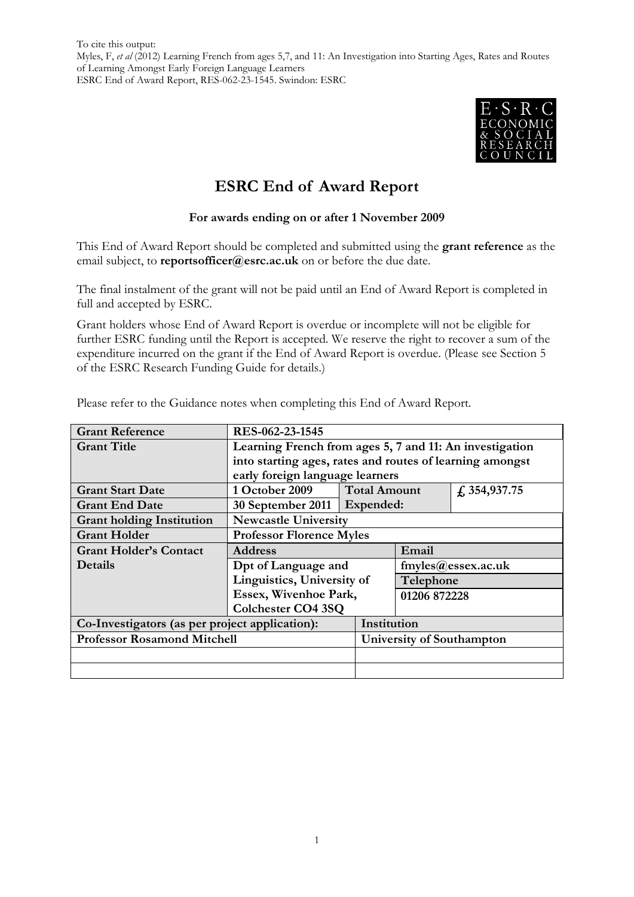

# **ESRC End of Award Report**

#### **For awards ending on or after 1 November 2009**

This End of Award Report should be completed and submitted using the **grant reference** as the email subject, to **reportsofficer@esrc.ac.uk** on or before the due date.

The final instalment of the grant will not be paid until an End of Award Report is completed in full and accepted by ESRC.

Grant holders whose End of Award Report is overdue or incomplete will not be eligible for further ESRC funding until the Report is accepted. We reserve the right to recover a sum of the expenditure incurred on the grant if the End of Award Report is overdue. (Please see Section 5 of the ESRC Research Funding Guide for details.)

| <b>Grant Reference</b>                         | RES-062-23-1545                                          |  |                                       |  |  |
|------------------------------------------------|----------------------------------------------------------|--|---------------------------------------|--|--|
| <b>Grant Title</b>                             | Learning French from ages 5, 7 and 11: An investigation  |  |                                       |  |  |
|                                                | into starting ages, rates and routes of learning amongst |  |                                       |  |  |
|                                                | early foreign language learners                          |  |                                       |  |  |
| <b>Grant Start Date</b>                        | 1 October 2009                                           |  | <b>Total Amount</b><br>f, 354, 937.75 |  |  |
| <b>Grant End Date</b>                          | 30 September 2011   Expended:                            |  |                                       |  |  |
| <b>Grant holding Institution</b>               | <b>Newcastle University</b>                              |  |                                       |  |  |
| <b>Grant Holder</b>                            | <b>Professor Florence Myles</b>                          |  |                                       |  |  |
| <b>Grant Holder's Contact</b>                  | <b>Address</b>                                           |  | Email                                 |  |  |
| <b>Details</b>                                 | Dpt of Language and                                      |  | $f$ myles $@$ essex.ac.uk             |  |  |
|                                                | Linguistics, University of                               |  | Telephone                             |  |  |
|                                                | Essex, Wivenhoe Park,                                    |  | 01206 872228                          |  |  |
|                                                | <b>Colchester CO4 3SQ</b>                                |  |                                       |  |  |
| Co-Investigators (as per project application): |                                                          |  | Institution                           |  |  |
| <b>Professor Rosamond Mitchell</b>             |                                                          |  | University of Southampton             |  |  |
|                                                |                                                          |  |                                       |  |  |
|                                                |                                                          |  |                                       |  |  |

Please refer to the Guidance notes when completing this End of Award Report.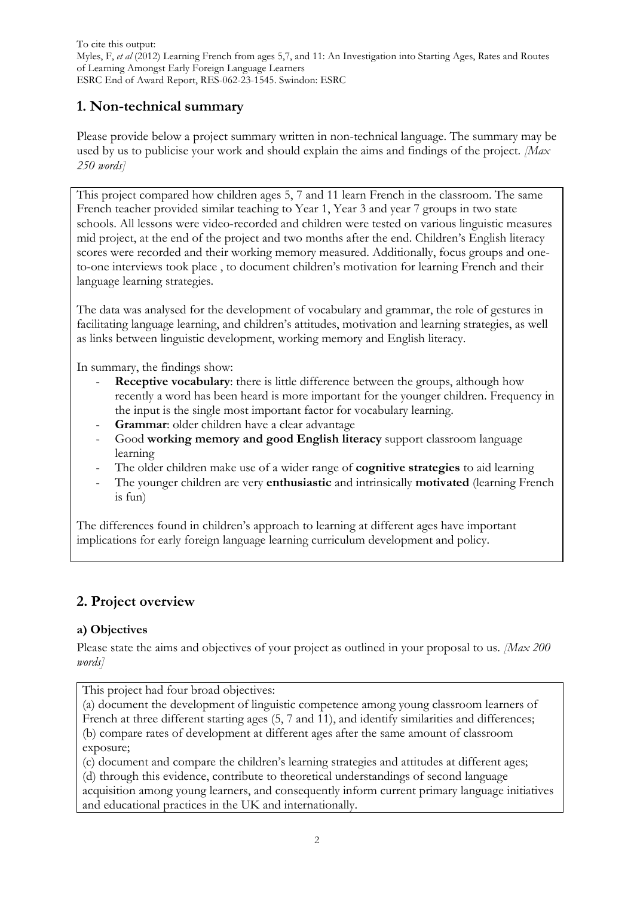### **1. Non-technical summary**

Please provide below a project summary written in non-technical language. The summary may be used by us to publicise your work and should explain the aims and findings of the project. *[Max 250 words]*

This project compared how children ages 5, 7 and 11 learn French in the classroom. The same French teacher provided similar teaching to Year 1, Year 3 and year 7 groups in two state schools. All lessons were video-recorded and children were tested on various linguistic measures mid project, at the end of the project and two months after the end. Children's English literacy scores were recorded and their working memory measured. Additionally, focus groups and oneto-one interviews took place , to document children's motivation for learning French and their language learning strategies.

The data was analysed for the development of vocabulary and grammar, the role of gestures in facilitating language learning, and children's attitudes, motivation and learning strategies, as well as links between linguistic development, working memory and English literacy.

In summary, the findings show:

- **Receptive vocabulary:** there is little difference between the groups, although how recently a word has been heard is more important for the younger children. Frequency in the input is the single most important factor for vocabulary learning.
- Grammar: older children have a clear advantage
- Good **working memory and good English literacy** support classroom language learning
- The older children make use of a wider range of **cognitive strategies** to aid learning
- The younger children are very **enthusiastic** and intrinsically **motivated** (learning French is fun)

The differences found in children's approach to learning at different ages have important implications for early foreign language learning curriculum development and policy.

### **2. Project overview**

### **a) Objectives**

Please state the aims and objectives of your project as outlined in your proposal to us. *[Max 200 words]*

This project had four broad objectives:

(a) document the development of linguistic competence among young classroom learners of French at three different starting ages (5, 7 and 11), and identify similarities and differences; (b) compare rates of development at different ages after the same amount of classroom exposure;

(c) document and compare the children's learning strategies and attitudes at different ages;

(d) through this evidence, contribute to theoretical understandings of second language

acquisition among young learners, and consequently inform current primary language initiatives and educational practices in the UK and internationally.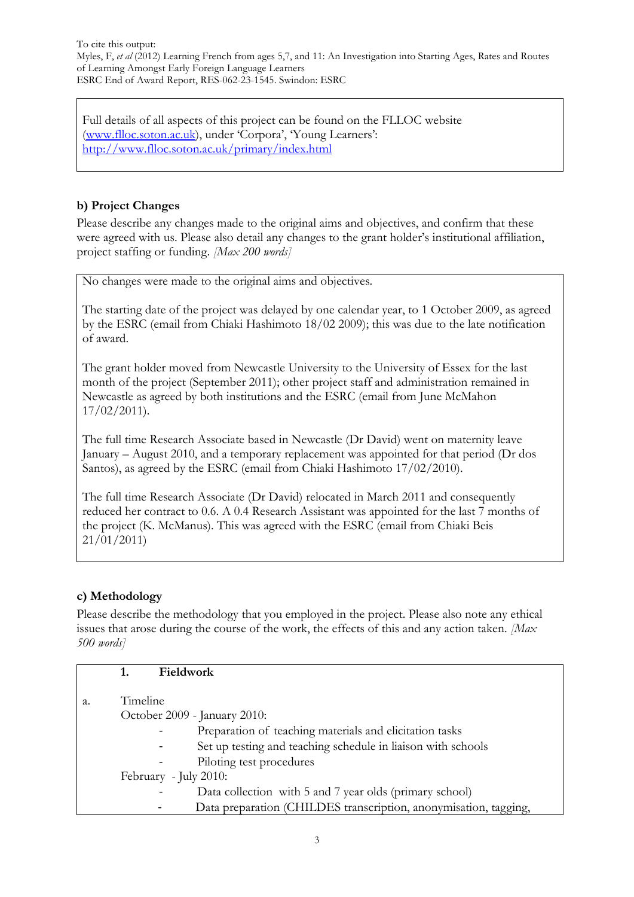Full details of all aspects of this project can be found on the FLLOC website [\(www.flloc.soton.ac.uk\)](http://www.flloc.soton.ac.uk/), under 'Corpora', 'Young Learners': <http://www.flloc.soton.ac.uk/primary/index.html>

### **b) Project Changes**

Please describe any changes made to the original aims and objectives, and confirm that these were agreed with us. Please also detail any changes to the grant holder's institutional affiliation, project staffing or funding. *[Max 200 words]*

No changes were made to the original aims and objectives.

The starting date of the project was delayed by one calendar year, to 1 October 2009, as agreed by the ESRC (email from Chiaki Hashimoto 18/02 2009); this was due to the late notification of award.

The grant holder moved from Newcastle University to the University of Essex for the last month of the project (September 2011); other project staff and administration remained in Newcastle as agreed by both institutions and the ESRC (email from June McMahon 17/02/2011).

The full time Research Associate based in Newcastle (Dr David) went on maternity leave January – August 2010, and a temporary replacement was appointed for that period (Dr dos Santos), as agreed by the ESRC (email from Chiaki Hashimoto 17/02/2010).

The full time Research Associate (Dr David) relocated in March 2011 and consequently reduced her contract to 0.6. A 0.4 Research Assistant was appointed for the last 7 months of the project (K. McManus). This was agreed with the ESRC (email from Chiaki Beis 21/01/2011)

### **c) Methodology**

Please describe the methodology that you employed in the project. Please also note any ethical issues that arose during the course of the work, the effects of this and any action taken. *[Max 500 words]*

|    | Fieldwork                                                        |
|----|------------------------------------------------------------------|
|    |                                                                  |
| a. | Timeline                                                         |
|    | October 2009 - January 2010:                                     |
|    | Preparation of teaching materials and elicitation tasks          |
|    | Set up testing and teaching schedule in liaison with schools     |
|    | Piloting test procedures                                         |
|    | February - July 2010:                                            |
|    | Data collection with 5 and 7 year olds (primary school)          |
|    | Data preparation (CHILDES transcription, anonymisation, tagging, |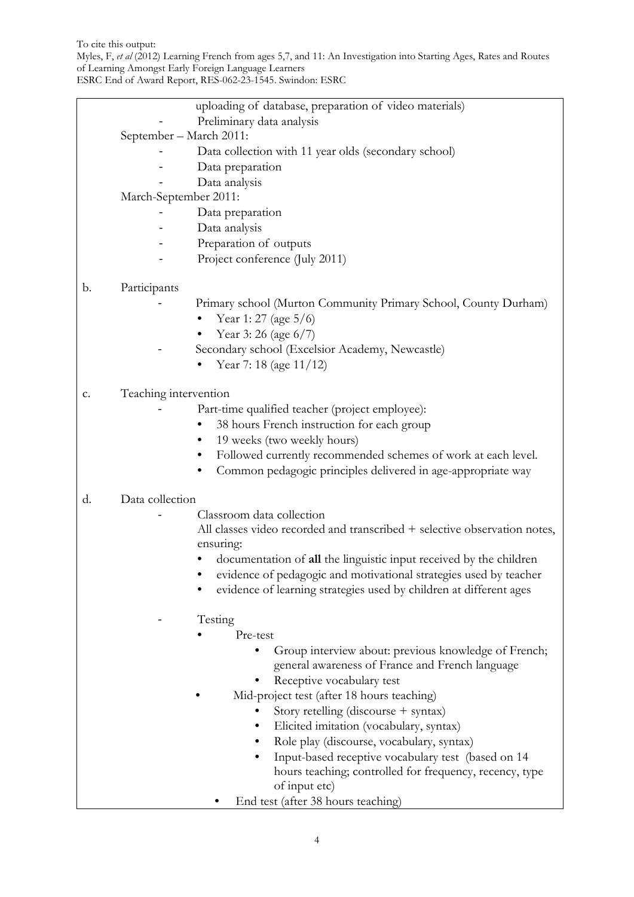To cite this output:

Myles, F, *et al* (2012) Learning French from ages 5,7, and 11: An Investigation into Starting Ages, Rates and Routes of Learning Amongst Early Foreign Language Learners

ESRC End of Award Report, RES-062-23-1545. Swindon: ESRC

|                       | uploading of database, preparation of video materials)                    |  |
|-----------------------|---------------------------------------------------------------------------|--|
|                       | Preliminary data analysis                                                 |  |
|                       | September - March 2011:                                                   |  |
|                       | Data collection with 11 year olds (secondary school)                      |  |
|                       | Data preparation                                                          |  |
|                       |                                                                           |  |
|                       | Data analysis                                                             |  |
| March-September 2011: |                                                                           |  |
|                       | Data preparation<br>Data analysis                                         |  |
|                       | Preparation of outputs                                                    |  |
|                       |                                                                           |  |
|                       | Project conference (July 2011)                                            |  |
| b.                    | Participants                                                              |  |
|                       | Primary school (Murton Community Primary School, County Durham)           |  |
|                       | Year 1: 27 (age 5/6)                                                      |  |
|                       | Year 3:26 (age 6/7)                                                       |  |
|                       | Secondary school (Excelsior Academy, Newcastle)                           |  |
|                       | Year 7: 18 (age 11/12)                                                    |  |
|                       |                                                                           |  |
| c.                    | Teaching intervention                                                     |  |
|                       | Part-time qualified teacher (project employee):                           |  |
|                       | 38 hours French instruction for each group                                |  |
|                       | 19 weeks (two weekly hours)<br>$\bullet$                                  |  |
|                       | Followed currently recommended schemes of work at each level.             |  |
|                       | Common pedagogic principles delivered in age-appropriate way              |  |
| d.                    | Data collection                                                           |  |
|                       | Classroom data collection                                                 |  |
|                       | All classes video recorded and transcribed + selective observation notes, |  |
|                       | ensuring:                                                                 |  |
|                       | documentation of all the linguistic input received by the children        |  |
|                       | evidence of pedagogic and motivational strategies used by teacher         |  |
|                       | evidence of learning strategies used by children at different ages        |  |
|                       |                                                                           |  |
|                       | Testing                                                                   |  |
|                       | Pre-test                                                                  |  |
|                       | Group interview about: previous knowledge of French;                      |  |
|                       | general awareness of France and French language                           |  |
|                       | Receptive vocabulary test                                                 |  |
|                       | Mid-project test (after 18 hours teaching)                                |  |
|                       | Story retelling (discourse + syntax)                                      |  |
|                       | Elicited imitation (vocabulary, syntax)                                   |  |
|                       | Role play (discourse, vocabulary, syntax)                                 |  |
|                       | Input-based receptive vocabulary test (based on 14                        |  |
|                       | hours teaching; controlled for frequency, recency, type                   |  |
|                       | of input etc)                                                             |  |
|                       | End test (after 38 hours teaching)                                        |  |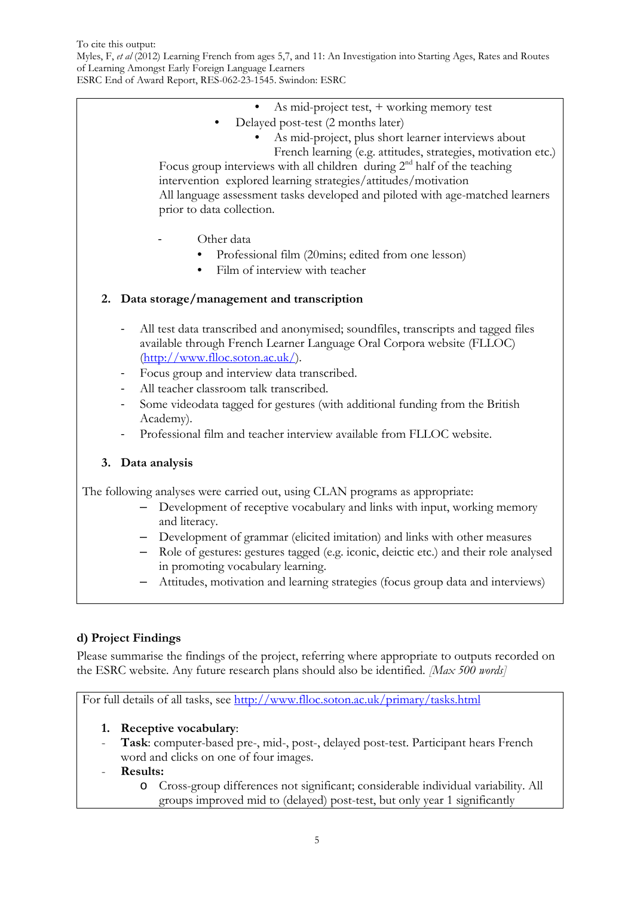Myles, F, *et al* (2012) Learning French from ages 5,7, and 11: An Investigation into Starting Ages, Rates and Routes of Learning Amongst Early Foreign Language Learners

ESRC End of Award Report, RES-062-23-1545. Swindon: ESRC

- As mid-project test, + working memory test
- Delayed post-test (2 months later)
	- As mid-project, plus short learner interviews about
		- French learning (e.g. attitudes, strategies, motivation etc.)

Focus group interviews with all children during  $2<sup>nd</sup>$  half of the teaching intervention explored learning strategies/attitudes/motivation All language assessment tasks developed and piloted with age-matched learners prior to data collection.

- Other data
	- Professional film (20mins; edited from one lesson)
	- Film of interview with teacher

#### **2. Data storage/management and transcription**

- All test data transcribed and anonymised; soundfiles, transcripts and tagged files available through French Learner Language Oral Corpora website (FLLOC) [\(http://www.flloc.soton.ac.uk/\)](http://www.flloc.soton.ac.uk/).
- Focus group and interview data transcribed.
- All teacher classroom talk transcribed.
- Some videodata tagged for gestures (with additional funding from the British Academy).
- Professional film and teacher interview available from FLLOC website.

### **3. Data analysis**

The following analyses were carried out, using CLAN programs as appropriate:

- Development of receptive vocabulary and links with input, working memory and literacy.
- Development of grammar (elicited imitation) and links with other measures
- Role of gestures: gestures tagged (e.g. iconic, deictic etc.) and their role analysed in promoting vocabulary learning.
- Attitudes, motivation and learning strategies (focus group data and interviews)

### **d) Project Findings**

Please summarise the findings of the project, referring where appropriate to outputs recorded on the ESRC website*.* Any future research plans should also be identified. *[Max 500 words]*

For full details of all tasks, see<http://www.flloc.soton.ac.uk/primary/tasks.html>

### **1. Receptive vocabulary**:

- **Task**: computer-based pre-, mid-, post-, delayed post-test. Participant hears French word and clicks on one of four images.

#### - **Results:**

o Cross-group differences not significant; considerable individual variability. All groups improved mid to (delayed) post-test, but only year 1 significantly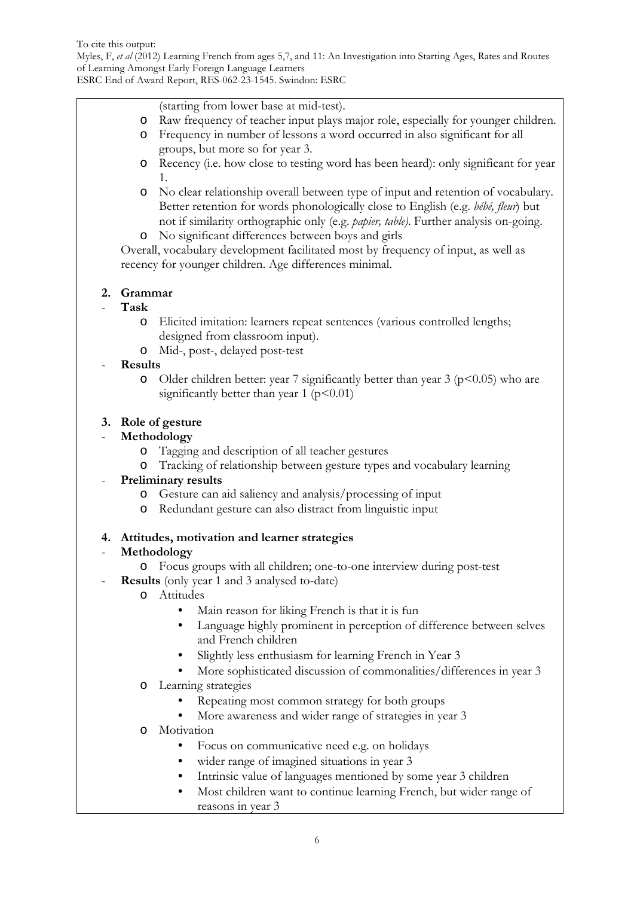Myles, F, *et al* (2012) Learning French from ages 5,7, and 11: An Investigation into Starting Ages, Rates and Routes of Learning Amongst Early Foreign Language Learners

ESRC End of Award Report, RES-062-23-1545. Swindon: ESRC

(starting from lower base at mid-test).

- o Raw frequency of teacher input plays major role, especially for younger children.
- o Frequency in number of lessons a word occurred in also significant for all groups, but more so for year 3.
- o Recency (i.e. how close to testing word has been heard): only significant for year 1.
- o No clear relationship overall between type of input and retention of vocabulary. Better retention for words phonologically close to English (e.g. *bébé, fleur*) but not if similarity orthographic only (e.g. *papier, table)*. Further analysis on-going.
- o No significant differences between boys and girls

Overall, vocabulary development facilitated most by frequency of input, as well as recency for younger children. Age differences minimal.

### **2. Grammar**

### - **Task**

- o Elicited imitation: learners repeat sentences (various controlled lengths; designed from classroom input).
- o Mid-, post-, delayed post-test

### - **Results**

o Older children better: year 7 significantly better than year 3 ( $p$ <0.05) who are significantly better than year 1 ( $p<0.01$ )

### **3. Role of gesture**

### - **Methodology**

- o Tagging and description of all teacher gestures
- o Tracking of relationship between gesture types and vocabulary learning

### - **Preliminary results**

- o Gesture can aid saliency and analysis/processing of input
- o Redundant gesture can also distract from linguistic input

### **4. Attitudes, motivation and learner strategies**

### - **Methodology**

- o Focus groups with all children; one-to-one interview during post-test
- **Results** (only year 1 and 3 analysed to-date)
	- o Attitudes
		- Main reason for liking French is that it is fun
		- Language highly prominent in perception of difference between selves and French children
		- Slightly less enthusiasm for learning French in Year 3
		- More sophisticated discussion of commonalities/differences in year 3
	- o Learning strategies
		- Repeating most common strategy for both groups
		- More awareness and wider range of strategies in year 3
	- o Motivation
		- Focus on communicative need e.g. on holidays
		- wider range of imagined situations in year 3
		- Intrinsic value of languages mentioned by some year 3 children
		- Most children want to continue learning French, but wider range of reasons in year 3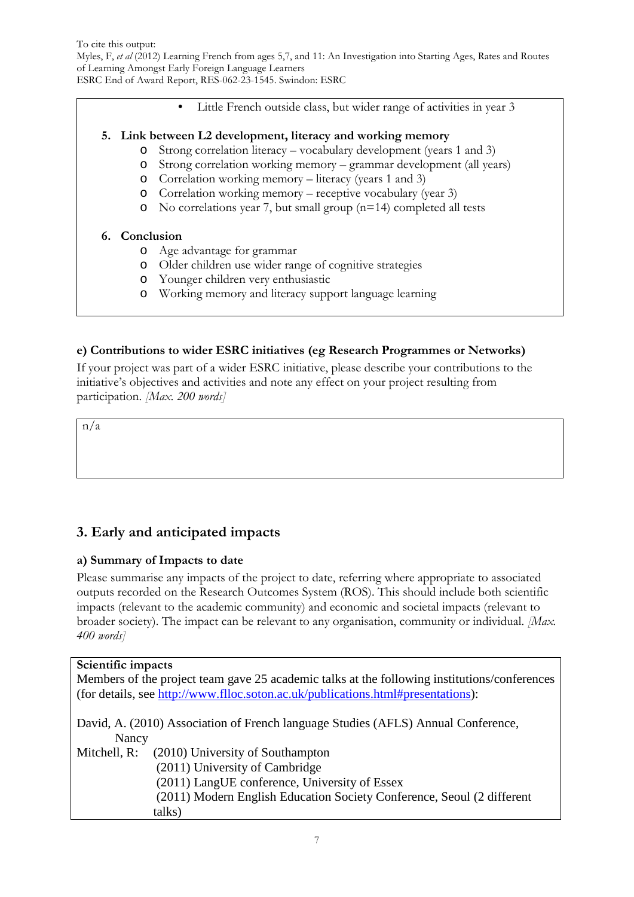To cite this output: Myles, F, *et al* (2012) Learning French from ages 5,7, and 11: An Investigation into Starting Ages, Rates and Routes of Learning Amongst Early Foreign Language Learners

ESRC End of Award Report, RES-062-23-1545. Swindon: ESRC

Little French outside class, but wider range of activities in year 3

#### **5. Link between L2 development, literacy and working memory**

- o Strong correlation literacy vocabulary development (years 1 and 3)
- o Strong correlation working memory grammar development (all years)
- o Correlation working memory literacy (years 1 and 3)
- o Correlation working memory receptive vocabulary (year 3)
- o No correlations year 7, but small group (n=14) completed all tests

#### **6. Conclusion**

- o Age advantage for grammar
- o Older children use wider range of cognitive strategies
- o Younger children very enthusiastic
- o Working memory and literacy support language learning

#### **e) Contributions to wider ESRC initiatives (eg Research Programmes or Networks)**

If your project was part of a wider ESRC initiative, please describe your contributions to the initiative's objectives and activities and note any effect on your project resulting from participation. *[Max. 200 words]*

n/a

## **3. Early and anticipated impacts**

### **a) Summary of Impacts to date**

Please summarise any impacts of the project to date, referring where appropriate to associated outputs recorded on the Research Outcomes System (ROS). This should include both scientific impacts (relevant to the academic community) and economic and societal impacts (relevant to broader society). The impact can be relevant to any organisation, community or individual. *[Max. 400 words]*

#### **Scientific impacts**

| Members of the project team gave 25 academic talks at the following institutions/conferences |  |
|----------------------------------------------------------------------------------------------|--|
| (for details, see http://www.flloc.soton.ac.uk/publications.html#presentations):             |  |
| David, A. (2010) Association of French language Studies (AFLS) Annual Conference,            |  |
| Nancy                                                                                        |  |
| (2010) University of Southampton<br>Mitchell, R:                                             |  |
| (2011) University of Cambridge                                                               |  |
| (2011) LangUE conference, University of Essex                                                |  |
| (2011) Modern English Education Society Conference, Seoul (2 different                       |  |
| talks)                                                                                       |  |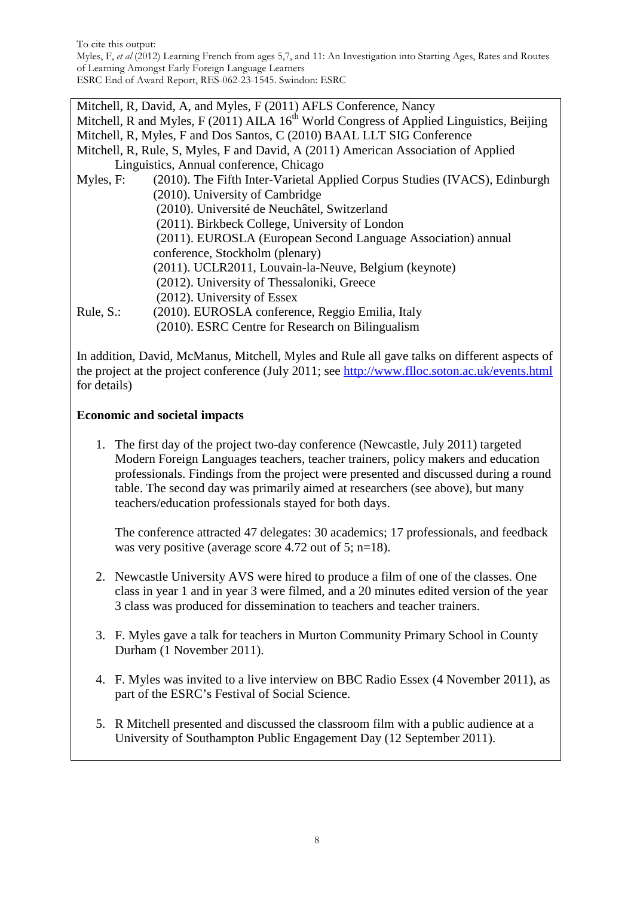Mitchell, R, David, A, and Myles, F (2011) AFLS Conference, Nancy Mitchell, R and Myles, F (2011) AILA  $16<sup>th</sup>$  World Congress of Applied Linguistics, Beijing Mitchell, R, Myles, F and Dos Santos, C (2010) BAAL LLT SIG Conference Mitchell, R, Rule, S, Myles, F and David, A (2011) American Association of Applied Linguistics, Annual conference, Chicago Myles, F: (2010). The Fifth Inter-Varietal Applied Corpus Studies (IVACS), Edinburgh (2010). University of Cambridge (2010). Université de Neuchâtel, Switzerland (2011). Birkbeck College, University of London (2011). EUROSLA (European Second Language Association) annual conference, Stockholm (plenary) (2011). UCLR2011, Louvain-la-Neuve, Belgium (keynote) (2012). University of Thessaloniki, Greece (2012). University of Essex

Rule, S.: (2010). EUROSLA conference, Reggio Emilia, Italy (2010). ESRC Centre for Research on Bilingualism

In addition, David, McManus, Mitchell, Myles and Rule all gave talks on different aspects of the project at the project conference (July 2011; see<http://www.flloc.soton.ac.uk/events.html> for details)

### **Economic and societal impacts**

1. The first day of the project two-day conference (Newcastle, July 2011) targeted Modern Foreign Languages teachers, teacher trainers, policy makers and education professionals. Findings from the project were presented and discussed during a round table. The second day was primarily aimed at researchers (see above), but many teachers/education professionals stayed for both days.

The conference attracted 47 delegates: 30 academics; 17 professionals, and feedback was very positive (average score 4.72 out of 5; n=18).

- 2. Newcastle University AVS were hired to produce a film of one of the classes. One class in year 1 and in year 3 were filmed, and a 20 minutes edited version of the year 3 class was produced for dissemination to teachers and teacher trainers.
- 3. F. Myles gave a talk for teachers in Murton Community Primary School in County Durham (1 November 2011).
- 4. F. Myles was invited to a live interview on BBC Radio Essex (4 November 2011), as part of the ESRC's Festival of Social Science.
- 5. R Mitchell presented and discussed the classroom film with a public audience at a University of Southampton Public Engagement Day (12 September 2011).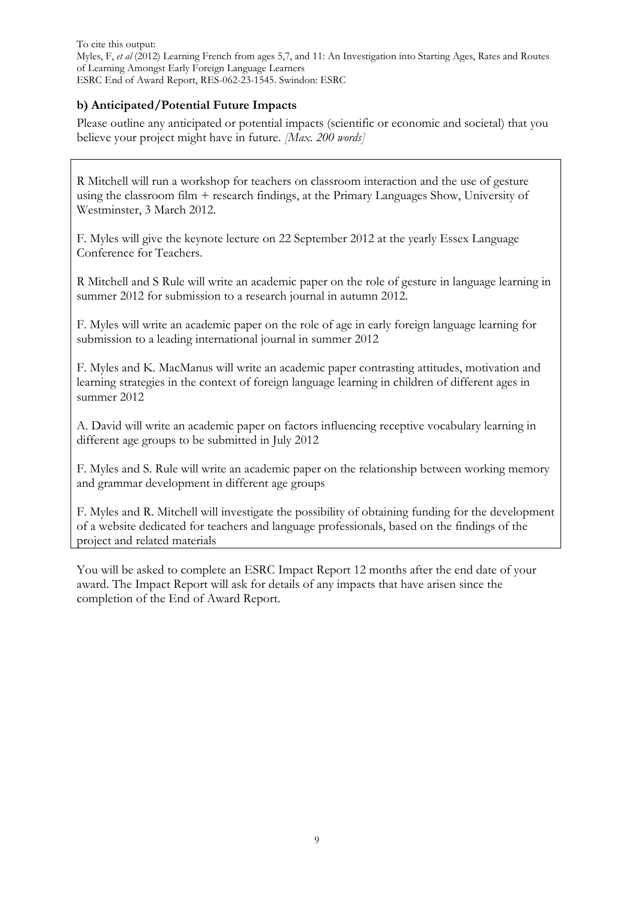### **b) Anticipated/Potential Future Impacts**

Please outline any anticipated or potential impacts (scientific or economic and societal) that you believe your project might have in future. *[Max. 200 words]*

R Mitchell will run a workshop for teachers on classroom interaction and the use of gesture using the classroom film + research findings, at the Primary Languages Show, University of Westminster, 3 March 2012.

F. Myles will give the keynote lecture on 22 September 2012 at the yearly Essex Language Conference for Teachers.

R Mitchell and S Rule will write an academic paper on the role of gesture in language learning in summer 2012 for submission to a research journal in autumn 2012.

F. Myles will write an academic paper on the role of age in early foreign language learning for submission to a leading international journal in summer 2012

F. Myles and K. MacManus will write an academic paper contrasting attitudes, motivation and learning strategies in the context of foreign language learning in children of different ages in summer 2012

A. David will write an academic paper on factors influencing receptive vocabulary learning in different age groups to be submitted in July 2012

F. Myles and S. Rule will write an academic paper on the relationship between working memory and grammar development in different age groups

F. Myles and R. Mitchell will investigate the possibility of obtaining funding for the development of a website dedicated for teachers and language professionals, based on the findings of the project and related materials

You will be asked to complete an ESRC Impact Report 12 months after the end date of your award. The Impact Report will ask for details of any impacts that have arisen since the completion of the End of Award Report.